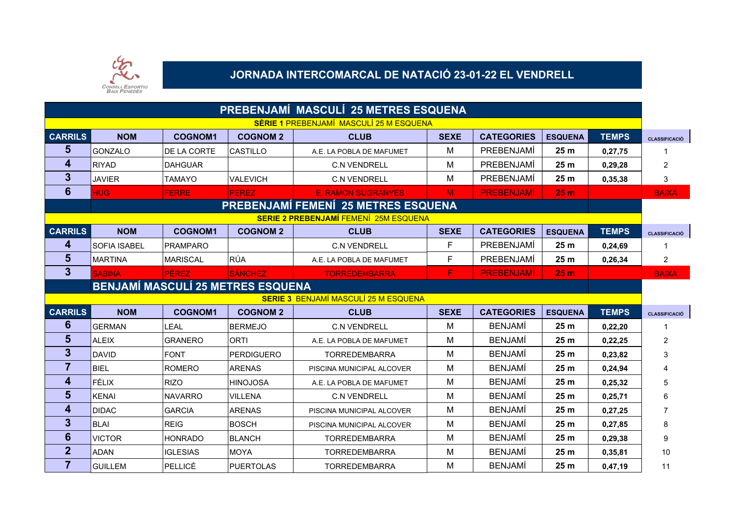

### **JORNADA INTERCOMARCAL DE NATACIÓ 23-01-22 EL VENDRELL**

| PREBENJAMÍ MASCULÍ 25 METRES ESQUENA |                                              |                 |                                          |                                             |             |                   |                 |              |                      |  |  |  |  |
|--------------------------------------|----------------------------------------------|-----------------|------------------------------------------|---------------------------------------------|-------------|-------------------|-----------------|--------------|----------------------|--|--|--|--|
|                                      |                                              |                 |                                          | SÈRIE 1 PREBENJAMÍ MASCULÍ 25 M ESQUENA     |             |                   |                 |              |                      |  |  |  |  |
| <b>CARRILS</b>                       | <b>NOM</b>                                   | <b>COGNOM1</b>  | <b>COGNOM 2</b>                          | <b>CLUB</b>                                 | <b>SEXE</b> | <b>CATEGORIES</b> | <b>ESQUENA</b>  | <b>TEMPS</b> | <b>CLASSIFICACIÓ</b> |  |  |  |  |
| 5                                    | <b>GONZALO</b>                               | DE LA CORTE     | CASTILLO                                 | A.E. LA POBLA DE MAFUMET                    | M           | PREBENJAMÍ        | 25 <sub>m</sub> | 0,27,75      | 1                    |  |  |  |  |
| 4                                    | <b>RIYAD</b>                                 | <b>DAHGUAR</b>  |                                          | <b>C.N VENDRELL</b>                         | M           | PREBENJAMÍ        | 25 <sub>m</sub> | 0,29,28      | 2                    |  |  |  |  |
| $\mathbf{3}$                         | <b>JAVIER</b>                                | <b>TAMAYO</b>   | <b>VALEVICH</b>                          | <b>C.N VENDRELL</b>                         | M           | PREBENJAMÍ        | 25 <sub>m</sub> | 0,35,38      | 3                    |  |  |  |  |
| $6\phantom{1}6$                      | <b>HUG</b>                                   | <b>FERRE</b>    | <b>PEREZ</b>                             | <b>E. RAMON SUGRANYES</b>                   | M           | <b>PREBENJAMÍ</b> | 25 <sub>m</sub> |              | <b>BAIXA</b>         |  |  |  |  |
|                                      |                                              |                 |                                          | <b>PREBENJAMÍ FEMENÍ 25 METRES ESQUENA</b>  |             |                   |                 |              |                      |  |  |  |  |
|                                      | <b>SERIE 2 PREBENJAMÍ FEMENÍ 25M ESQUENA</b> |                 |                                          |                                             |             |                   |                 |              |                      |  |  |  |  |
| <b>CARRILS</b>                       | <b>NOM</b>                                   | <b>COGNOM1</b>  | <b>COGNOM 2</b>                          | <b>CLUB</b>                                 | <b>SEXE</b> | <b>CATEGORIES</b> | <b>ESQUENA</b>  | <b>TEMPS</b> | <b>CLASSIFICACIÓ</b> |  |  |  |  |
| $\boldsymbol{4}$                     | <b>SOFIA ISABEL</b>                          | <b>PRAMPARO</b> |                                          | <b>C.N VENDRELL</b>                         | F           | PREBENJAMÍ        | 25 <sub>m</sub> | 0,24,69      | 1                    |  |  |  |  |
| $5\phantom{1}$                       | MARTINA                                      | <b>MARISCAL</b> | RÚA                                      | A.E. LA POBLA DE MAFUMET                    | F           | PREBENJAMÍ        | 25 <sub>m</sub> | 0,26,34      | 2                    |  |  |  |  |
| $\mathbf{3}$                         | <b>SABINA</b>                                | <b>PÉREZ</b>    | <b>SÁNCHEZ</b>                           | <b>TORREDEMBARRA</b>                        | F           | <b>PREBENJAMÍ</b> | 25 <sub>m</sub> |              | <b>BAIXA</b>         |  |  |  |  |
|                                      |                                              |                 | <b>BENJAMÍ MASCULÍ 25 METRES ESQUENA</b> |                                             |             |                   |                 |              |                      |  |  |  |  |
|                                      |                                              |                 |                                          | <b>SERIE 3 BENJAMÍ MASCULÍ 25 M ESQUENA</b> |             |                   |                 |              |                      |  |  |  |  |
| <b>CARRILS</b>                       | <b>NOM</b>                                   | <b>COGNOM1</b>  | <b>COGNOM 2</b>                          | <b>CLUB</b>                                 | <b>SEXE</b> | <b>CATEGORIES</b> | <b>ESQUENA</b>  | <b>TEMPS</b> | <b>CLASSIFICACIÓ</b> |  |  |  |  |
| $6\phantom{1}6$                      | <b>GERMAN</b>                                | <b>LEAL</b>     | <b>BERMEJO</b>                           | <b>C.N VENDRELL</b>                         | M           | <b>BENJAMÍ</b>    | 25 <sub>m</sub> | 0,22,20      |                      |  |  |  |  |
| $5\phantom{1}$                       | <b>ALEIX</b>                                 | <b>GRANERO</b>  | <b>ORTI</b>                              | A.E. LA POBLA DE MAFUMET                    | M           | <b>BENJAMÍ</b>    | 25 m            | 0,22,25      | 2                    |  |  |  |  |
| $3\phantom{a}$                       | DAVID                                        | <b>FONT</b>     | PERDIGUERO                               | <b>TORREDEMBARRA</b>                        | M           | <b>BENJAMI</b>    | 25 <sub>m</sub> | 0,23,82      | 3                    |  |  |  |  |
| $\overline{7}$                       | <b>BIEL</b>                                  | <b>ROMERO</b>   | <b>ARENAS</b>                            | PISCINA MUNICIPAL ALCOVER                   | М           | <b>BENJAMÍ</b>    | 25 <sub>m</sub> | 0,24,94      |                      |  |  |  |  |
| $\overline{4}$                       | <b>FÉLIX</b>                                 | <b>RIZO</b>     | <b>HINOJOSA</b>                          | A.E. LA POBLA DE MAFUMET                    | M           | <b>BENJAMÍ</b>    | 25 <sub>m</sub> | 0,25,32      | 5                    |  |  |  |  |
| 5                                    | KENAI                                        | <b>NAVARRO</b>  | <b>VILLENA</b>                           | <b>C.N VENDRELL</b>                         | M           | <b>BENJAMÍ</b>    | 25 <sub>m</sub> | 0,25,71      | 6                    |  |  |  |  |
| 4                                    | <b>DIDAC</b>                                 | <b>GARCIA</b>   | <b>ARENAS</b>                            | PISCINA MUNICIPAL ALCOVER                   | M           | <b>BENJAMÍ</b>    | 25 <sub>m</sub> | 0,27,25      | $\overline{7}$       |  |  |  |  |
| $\mathbf{3}$                         | <b>BLAI</b>                                  | <b>REIG</b>     | <b>BOSCH</b>                             | PISCINA MUNICIPAL ALCOVER                   | M           | <b>BENJAMÍ</b>    | 25 <sub>m</sub> | 0,27,85      | 8                    |  |  |  |  |
| $6\phantom{1}6$                      | <b>VICTOR</b>                                | <b>HONRADO</b>  | BLANCH                                   | <b>TORREDEMBARRA</b>                        | M           | <b>BENJAMÍ</b>    | 25 <sub>m</sub> | 0,29,38      | 9                    |  |  |  |  |
| $\overline{2}$                       | <b>ADAN</b>                                  | <b>IGLESIAS</b> | MOYA                                     | <b>TORREDEMBARRA</b>                        | M           | <b>BENJAMÍ</b>    | 25 <sub>m</sub> | 0,35,81      | 10                   |  |  |  |  |
| $\overline{7}$                       | <b>GUILLEM</b>                               | PELLICÉ         | PUERTOLAS                                | <b>TORREDEMBARRA</b>                        | м           | <b>BENJAMI</b>    | 25 <sub>m</sub> | 0,47,19      | 11                   |  |  |  |  |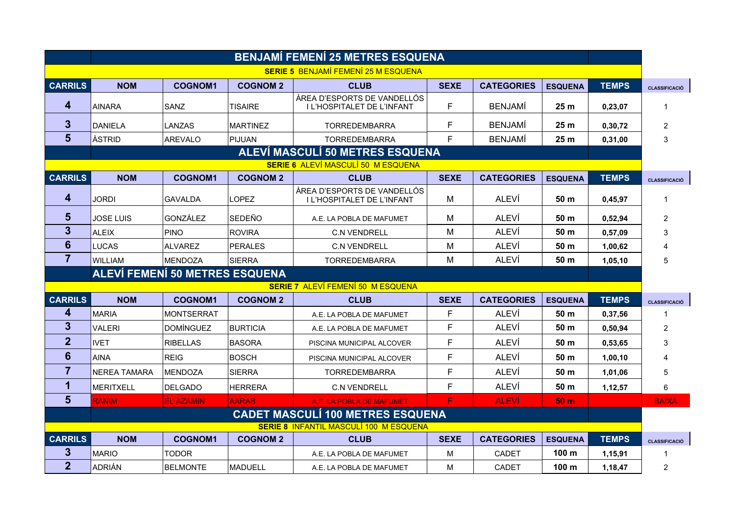|                         | <b>BENJAMÍ FEMENÍ 25 METRES ESQUENA</b>   |                   |                 |                                                           |             |                   |                  |              |                      |  |  |  |
|-------------------------|-------------------------------------------|-------------------|-----------------|-----------------------------------------------------------|-------------|-------------------|------------------|--------------|----------------------|--|--|--|
|                         |                                           |                   |                 | <b>SERIE 5 BENJAMÍ FEMENÍ 25 M ESQUENA</b>                |             |                   |                  |              |                      |  |  |  |
| <b>CARRILS</b>          | <b>NOM</b>                                | <b>COGNOM1</b>    | <b>COGNOM 2</b> | <b>CLUB</b>                                               | <b>SEXE</b> | <b>CATEGORIES</b> | <b>ESQUENA</b>   | <b>TEMPS</b> | <b>CLASSIFICACIÓ</b> |  |  |  |
| 4                       | AINARA                                    | SANZ              | <b>TISAIRE</b>  | ÀREA D'ESPORTS DE VANDELLÓS<br>I L'HOSPITALET DE L'INFANT | F           | <b>BENJAMI</b>    | 25m              | 0,23,07      | 1                    |  |  |  |
| $\mathbf{3}$            | <b>DANIELA</b>                            | <b>LANZAS</b>     | <b>MARTINEZ</b> | <b>TORREDEMBARRA</b>                                      | F           | <b>BENJAMÍ</b>    | 25 <sub>m</sub>  | 0,30,72      | $\overline{c}$       |  |  |  |
| $5\phantom{1}$          | <b>ÀSTRID</b>                             | AREVALO           | PIJUAN          | <b>TORREDEMBARRA</b>                                      | F           | <b>BENJAMÍ</b>    | 25 <sub>m</sub>  | 0,31,00      | 3                    |  |  |  |
|                         |                                           |                   |                 | <b>ALEVÍ MASCULÍ 50 METRES ESQUENA</b>                    |             |                   |                  |              |                      |  |  |  |
|                         | <b>SERIE 6 ALEVÍ MASCULÍ 50 M ESQUENA</b> |                   |                 |                                                           |             |                   |                  |              |                      |  |  |  |
| <b>CARRILS</b>          | <b>NOM</b>                                | <b>COGNOM1</b>    | <b>COGNOM 2</b> | <b>CLUB</b>                                               | <b>SEXE</b> | <b>CATEGORIES</b> | <b>ESQUENA</b>   | <b>TEMPS</b> | <b>CLASSIFICACIÓ</b> |  |  |  |
| 4                       | <b>JORDI</b>                              | <b>GAVALDA</b>    | LOPEZ           | ÀREA D'ESPORTS DE VANDELLÓS<br>I L'HOSPITALET DE L'INFANT | M           | <b>ALEVÍ</b>      | 50 m             | 0,45,97      | $\mathbf 1$          |  |  |  |
| $5\phantom{1}$          | <b>JOSE LUIS</b>                          | GONZÁLEZ          | <b>SEDEÑO</b>   | A.E. LA POBLA DE MAFUMET                                  | M           | ALEVÍ             | 50 m             | 0,52,94      | $\overline{2}$       |  |  |  |
| $\overline{3}$          | <b>ALEIX</b>                              | <b>PINO</b>       | <b>ROVIRA</b>   | <b>C.N VENDRELL</b>                                       | M           | ALEVÍ             | 50 m             | 0,57,09      | 3                    |  |  |  |
| 6                       | <b>LUCAS</b>                              | <b>ALVAREZ</b>    | <b>PERALES</b>  | <b>C.N VENDRELL</b>                                       | м           | ALEVÍ             | 50 m             | 1,00,62      | 4                    |  |  |  |
| $\overline{7}$          | <b>WILLIAM</b>                            | <b>MENDOZA</b>    | <b>SIERRA</b>   | <b>TORREDEMBARRA</b>                                      | M           | ALEVÍ             | 50 <sub>m</sub>  | 1,05,10      | 5                    |  |  |  |
|                         | <b>ALEVÍ FEMENÍ 50 METRES ESQUENA</b>     |                   |                 |                                                           |             |                   |                  |              |                      |  |  |  |
|                         |                                           |                   |                 | <b>SERIE 7 ALEVÍ FEMENÍ 50 M ESQUENA</b>                  |             |                   |                  |              |                      |  |  |  |
| <b>CARRILS</b>          | <b>NOM</b>                                | <b>COGNOM1</b>    | <b>COGNOM 2</b> | <b>CLUB</b>                                               | <b>SEXE</b> | <b>CATEGORIES</b> | <b>ESQUENA</b>   | <b>TEMPS</b> | <b>CLASSIFICACIÓ</b> |  |  |  |
| 4                       | <b>MARIA</b>                              | <b>MONTSERRAT</b> |                 | A.E. LA POBLA DE MAFUMET                                  | F           | <b>ALEVÍ</b>      | 50 m             | 0,37,56      | 1                    |  |  |  |
| $\overline{\mathbf{3}}$ | VALERI                                    | <b>DOMÍNGUEZ</b>  | <b>BURTICIA</b> | A.E. LA POBLA DE MAFUMET                                  | F           | <b>ALEVÍ</b>      | 50 m             | 0,50,94      | 2                    |  |  |  |
| $\overline{2}$          | <b>IVET</b>                               | <b>RIBELLAS</b>   | <b>BASORA</b>   | PISCINA MUNICIPAL ALCOVER                                 | F           | <b>ALEVÍ</b>      | 50 m             | 0,53,65      | 3                    |  |  |  |
| 6                       | <b>AINA</b>                               | <b>REIG</b>       | <b>BOSCH</b>    | PISCINA MUNICIPAL ALCOVER                                 | F           | ALEVÍ             | 50 m             | 1,00,10      | 4                    |  |  |  |
| 7                       | NEREA TAMARA                              | <b>MENDOZA</b>    | <b>SIERRA</b>   | <b>TORREDEMBARRA</b>                                      | F           | ALEVÍ             | 50 m             | 1,01,06      | 5                    |  |  |  |
| 1                       | <b>MERITXELL</b>                          | <b>DELGADO</b>    | <b>HERRERA</b>  | <b>C.N VENDRELL</b>                                       | F           | <b>ALEVÍ</b>      | 50 m             | 1,12,57      | 6                    |  |  |  |
| $5\phantom{1}$          | <b>RANIM</b>                              | <b>EL AZAMIN</b>  | <b>AARAB</b>    | A.E. LA POBLA DE MAFUMET                                  | F           | <b>ALEVÍ</b>      | 50 <sub>m</sub>  |              | <b>BAIXA</b>         |  |  |  |
|                         |                                           |                   |                 | <b>CADET MASCULÍ 100 METRES ESQUENA</b>                   |             |                   |                  |              |                      |  |  |  |
|                         |                                           |                   |                 | <b>SERIE 8 INFANTIL MASCULÍ 100 M ESQUENA</b>             |             |                   |                  |              |                      |  |  |  |
| <b>CARRILS</b>          | <b>NOM</b>                                | <b>COGNOM1</b>    | <b>COGNOM 2</b> | <b>CLUB</b>                                               | <b>SEXE</b> | <b>CATEGORIES</b> | <b>ESQUENA</b>   | <b>TEMPS</b> | <b>CLASSIFICACIÓ</b> |  |  |  |
| 3                       | <b>MARIO</b>                              | TODOR             |                 | A.E. LA POBLA DE MAFUMET                                  | м           | <b>CADET</b>      | 100 m            | 1,15,91      | 1                    |  |  |  |
| $\overline{2}$          | ADRIÁN                                    | <b>BELMONTE</b>   | MADUELL         | A.E. LA POBLA DE MAFUMET                                  | м           | <b>CADET</b>      | 100 <sub>m</sub> | 1,18,47      | $\overline{2}$       |  |  |  |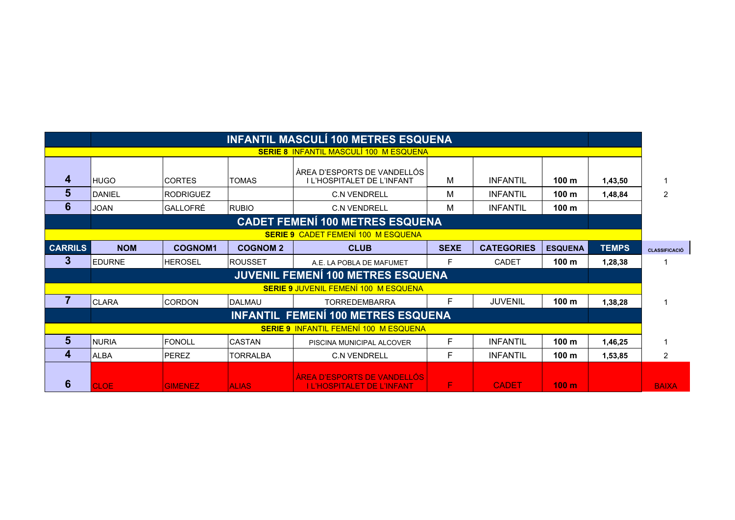| <b>INFANTIL MASCULÍ 100 METRES ESQUENA</b> |               |                  |                 |                                                                  |             |                   |                  |              |                      |  |
|--------------------------------------------|---------------|------------------|-----------------|------------------------------------------------------------------|-------------|-------------------|------------------|--------------|----------------------|--|
|                                            |               |                  |                 | <b>SERIE 8 INFANTIL MASCULÍ 100 M ESQUENA</b>                    |             |                   |                  |              |                      |  |
| 4                                          | <b>IHUGO</b>  | <b>CORTES</b>    | <b>TOMAS</b>    | ÀREA D'ESPORTS DE VANDELLÓS<br>I L'HOSPITALET DE L'INFANT        | M           | <b>INFANTIL</b>   | 100 <sub>m</sub> | 1,43,50      |                      |  |
| $5\phantom{.}$                             | <b>DANIEL</b> | <b>RODRIGUEZ</b> |                 | <b>C.N VENDRELL</b>                                              | м           | <b>INFANTIL</b>   | 100 <sub>m</sub> | 1,48,84      | 2                    |  |
| 6                                          | <b>JOAN</b>   | GALLOFRÉ         | <b>RUBIO</b>    | <b>C.N VENDRELL</b>                                              | м           | <b>INFANTIL</b>   | 100 <sub>m</sub> |              |                      |  |
|                                            |               |                  |                 | <b>CADET FEMENÍ 100 METRES ESQUENA</b>                           |             |                   |                  |              |                      |  |
|                                            |               |                  |                 | <b>SERIE 9 CADET FEMENÍ 100 M ESQUENA</b>                        |             |                   |                  |              |                      |  |
| <b>CARRILS</b>                             | <b>NOM</b>    | <b>COGNOM1</b>   | <b>COGNOM 2</b> | <b>CLUB</b>                                                      | <b>SEXE</b> | <b>CATEGORIES</b> | <b>ESQUENA</b>   | <b>TEMPS</b> | <b>CLASSIFICACIÓ</b> |  |
| 3                                          | <b>EDURNE</b> | <b>HEROSEL</b>   | ROUSSET         | A.E. LA POBLA DE MAFUMET                                         | F           | CADET             | 100 <sub>m</sub> | 1,28,38      |                      |  |
|                                            |               |                  |                 | <b>JUVENIL FEMENÍ 100 METRES ESQUENA</b>                         |             |                   |                  |              |                      |  |
|                                            |               |                  |                 | <b>SERIE 9 JUVENIL FEMENÍ 100 M ESQUENA</b>                      |             |                   |                  |              |                      |  |
|                                            | <b>CLARA</b>  | <b>CORDON</b>    | DALMAU          | <b>TORREDEMBARRA</b>                                             | F           | <b>JUVENIL</b>    | 100 <sub>m</sub> | 1,38,28      |                      |  |
|                                            |               |                  |                 | INFANTIL FEMENÍ 100 METRES ESQUENA                               |             |                   |                  |              |                      |  |
|                                            |               |                  |                 | <b>SERIE 9 INFANTIL FEMENÍ 100 M ESQUENA</b>                     |             |                   |                  |              |                      |  |
| $5\phantom{1}$                             | <b>NURIA</b>  | FONOLL           | CASTAN          | PISCINA MUNICIPAL ALCOVER                                        | F           | <b>INFANTIL</b>   | 100 <sub>m</sub> | 1,46,25      |                      |  |
| 4                                          | <b>ALBA</b>   | PEREZ            | <b>TORRALBA</b> | <b>C.N VENDRELL</b>                                              | F           | <b>INFANTIL</b>   | 100 <sub>m</sub> | 1,53,85      | $\overline{2}$       |  |
| 6                                          | <b>CLOE</b>   | <b>GIMENEZ</b>   | <b>ALIAS</b>    | AREA D'ESPORTS DE VANDELLOS<br><b>I L'HOSPITALET DE L'INFANT</b> | F.          | <b>CADET</b>      | 100 <sub>m</sub> |              | <b>BAIXA</b>         |  |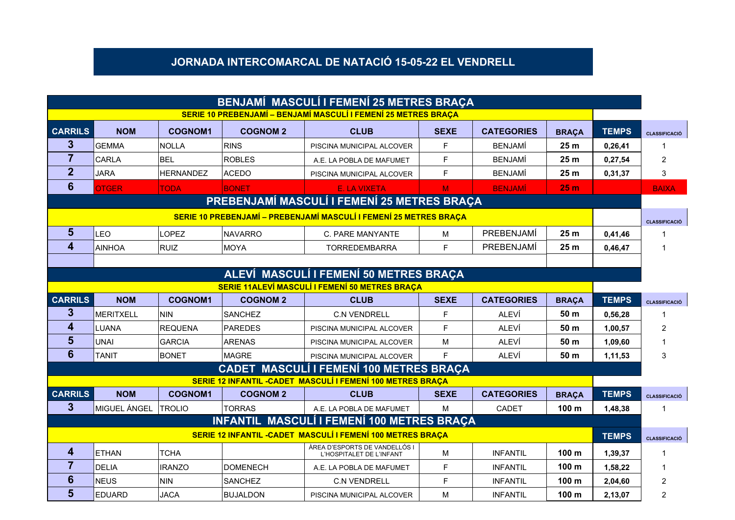#### **JORNADA INTERCOMARCAL DE NATACIÓ 15-05-22 EL VENDRELL**

| BENJAMÍ MASCULÍ I FEMENÍ 25 METRES BRAÇA |                                        |                  |                 |                                                                   |             |                   |                  |              |                      |  |  |
|------------------------------------------|----------------------------------------|------------------|-----------------|-------------------------------------------------------------------|-------------|-------------------|------------------|--------------|----------------------|--|--|
|                                          |                                        |                  |                 | SERIE 10 PREBENJAMÍ – BENJAMÍ MASCULÍ I FEMENÍ 25 METRES BRAÇA    |             |                   |                  |              |                      |  |  |
| <b>CARRILS</b>                           | <b>NOM</b>                             | <b>COGNOM1</b>   | <b>COGNOM 2</b> | <b>CLUB</b>                                                       | <b>SEXE</b> | <b>CATEGORIES</b> | <b>BRAÇA</b>     | <b>TEMPS</b> | <b>CLASSIFICACIÓ</b> |  |  |
| 3                                        | <b>GEMMA</b>                           | <b>NOLLA</b>     | RINS            | PISCINA MUNICIPAL ALCOVER                                         | F.          | <b>BENJAMÍ</b>    | 25 <sub>m</sub>  | 0,26,41      |                      |  |  |
| $\overline{7}$                           | <b>CARLA</b>                           | <b>BEL</b>       | <b>ROBLES</b>   | A.E. LA POBLA DE MAFUMET                                          | F           | <b>BENJAMÍ</b>    | 25 <sub>m</sub>  | 0,27,54      | 2                    |  |  |
| $\overline{2}$                           | <b>JARA</b>                            | <b>HERNANDEZ</b> | <b>ACEDO</b>    | PISCINA MUNICIPAL ALCOVER                                         | E           | <b>BENJAMÍ</b>    | 25 <sub>m</sub>  | 0,31,37      | 3                    |  |  |
| $6\phantom{1}6$                          | <b>OTGER</b>                           | <b>TODA</b>      | <b>BONET</b>    | E. LA VIXETA                                                      | M           | <b>BENJAMÍ</b>    | 25 <sub>m</sub>  |              | <b>BAIXA</b>         |  |  |
|                                          |                                        |                  |                 | PREBENJAMÍ MASCULÍ I FEMENÍ 25 METRES BRAÇA                       |             |                   |                  |              |                      |  |  |
|                                          |                                        |                  |                 | SERIE 10 PREBENJAMÍ - PREBENJAMÍ MASCULÍ I FEMENÍ 25 METRES BRAÇA |             |                   |                  |              | <b>CLASSIFICACIÓ</b> |  |  |
| 5                                        | LEO                                    | <b>LOPEZ</b>     | <b>NAVARRO</b>  | C. PARE MANYANTE                                                  | м           | PREBENJAMÍ        | 25 <sub>m</sub>  | 0.41.46      |                      |  |  |
| $\overline{\mathbf{4}}$                  | <b>AINHOA</b>                          | <b>RUIZ</b>      | <b>MOYA</b>     | <b>TORREDEMBARRA</b>                                              | F.          | PREBENJAMÍ        | 25 <sub>m</sub>  | 0,46,47      |                      |  |  |
|                                          |                                        |                  |                 |                                                                   |             |                   |                  |              |                      |  |  |
|                                          | ALEVÍ MASCULÍ I FEMENÍ 50 METRES BRAÇA |                  |                 |                                                                   |             |                   |                  |              |                      |  |  |
|                                          |                                        |                  |                 | SERIE 11ALEVÍ MASCULÍ I FEMENÍ 50 METRES BRAÇA                    |             |                   |                  |              |                      |  |  |
| <b>CARRILS</b>                           | <b>NOM</b>                             | <b>COGNOM1</b>   | <b>COGNOM 2</b> | <b>CLUB</b>                                                       | <b>SEXE</b> | <b>CATEGORIES</b> | <b>BRACA</b>     | <b>TEMPS</b> | <b>CLASSIFICACIÓ</b> |  |  |
| $\mathbf{3}$                             | <b>MERITXELL</b>                       | <b>NIN</b>       | <b>SANCHF7</b>  | <b>C.N VENDRELL</b>                                               | F.          | AI FVÍ            | 50 m             | 0,56,28      |                      |  |  |
| 4                                        | LUANA                                  | <b>REQUENA</b>   | <b>PAREDES</b>  | PISCINA MUNICIPAL ALCOVER                                         | F           | ALEVÍ             | 50 m             | 1,00,57      | 2                    |  |  |
| 5                                        | <b>UNAI</b>                            | <b>GARCIA</b>    | <b>ARENAS</b>   | PISCINA MUNICIPAL ALCOVER                                         | M           | ALEVÍ             | 50 <sub>m</sub>  | 1,09,60      |                      |  |  |
| $6\phantom{1}6$                          | <b>TANIT</b>                           | <b>BONET</b>     | MAGRE           | PISCINA MUNICIPAL ALCOVER                                         | F           | ALEVÍ             | 50 m             | 1,11,53      | 3                    |  |  |
|                                          |                                        |                  |                 | <b>CADET MASCULÍ I FEMENÍ 100 METRES BRAÇA</b>                    |             |                   |                  |              |                      |  |  |
|                                          |                                        |                  |                 | SERIE 12 INFANTIL - CADET MASCULÍ I FEMENÍ 100 METRES BRACA       |             |                   |                  |              |                      |  |  |
| <b>CARRILS</b>                           | <b>NOM</b>                             | <b>COGNOM1</b>   | <b>COGNOM 2</b> | <b>CLUB</b>                                                       | <b>SEXE</b> | <b>CATEGORIES</b> | <b>BRAÇA</b>     | <b>TEMPS</b> | <b>CLASSIFICACIÓ</b> |  |  |
| 3                                        | MIGUEL ÁNGEL                           | <b>TROLIO</b>    | <b>TORRAS</b>   | A.E. LA POBLA DE MAFUMET                                          | M           | CADET             | 100 <sub>m</sub> | 1,48,38      | 1                    |  |  |
|                                          |                                        |                  |                 | <b>INFANTIL MASCULÍ I FEMENÍ 100 METRES BRAÇA</b>                 |             |                   |                  |              |                      |  |  |
|                                          |                                        |                  |                 | SERIE 12 INFANTIL - CADET MASCULÍ I FEMENÍ 100 METRES BRAÇA       |             |                   |                  | <b>TEMPS</b> | <b>CLASSIFICACIÓ</b> |  |  |
| 4                                        | ETHAN                                  | <b>TCHA</b>      |                 | ÀREA D'ESPORTS DE VANDELLÓS I<br>L'HOSPITALET DE L'INFANT         | M           | <b>INFANTIL</b>   | 100 <sub>m</sub> | 1,39,37      | 1                    |  |  |
| $\overline{7}$                           | <b>DELIA</b>                           | <b>IRANZO</b>    | <b>DOMENECH</b> | A.E. LA POBLA DE MAFUMET                                          | F           | <b>INFANTIL</b>   | 100 <sub>m</sub> | 1,58,22      |                      |  |  |
| 6                                        | <b>NEUS</b>                            | <b>NIN</b>       | <b>SANCHEZ</b>  | <b>C.N VENDRELL</b>                                               | F           | <b>INFANTIL</b>   | 100 m            | 2,04,60      | 2                    |  |  |
| 5                                        | <b>EDUARD</b>                          | <b>JACA</b>      | <b>BUJALDON</b> | PISCINA MUNICIPAL ALCOVER                                         | M           | <b>INFANTIL</b>   | 100 <sub>m</sub> | 2.13.07      | 2                    |  |  |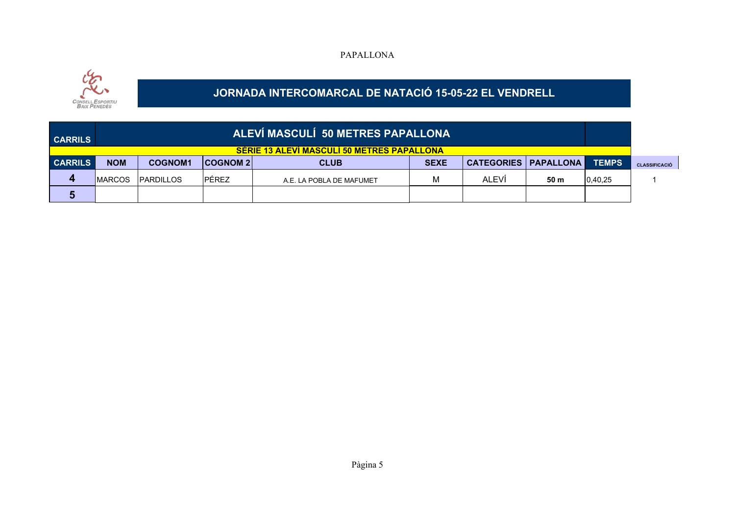#### PAPALLONA



### **JORNADA INTERCOMARCAL DE NATACIÓ 15-05-22 EL VENDRELL**

| <b>CARRILS</b> |                |                  |                  | ALEVÍ MASCULÍ 50 METRES PAPALLONA<br><b>SERIE 13 ALEVI MASCULI 50 METRES PAPALLONA</b> |             |                                 |      |         |                      |
|----------------|----------------|------------------|------------------|----------------------------------------------------------------------------------------|-------------|---------------------------------|------|---------|----------------------|
| <b>CARRILS</b> | <b>NOM</b>     | <b>COGNOM1</b>   | <b>COGNOM 21</b> | <b>CLUB</b>                                                                            | <b>SEXE</b> | <b>CATEGORIES   PAPALLONA  </b> |      | TEMPS   | <b>CLASSIFICACIÓ</b> |
| 4              | <b>IMARCOS</b> | <b>PARDILLOS</b> | <b>PÉREZ</b>     | A.E. LA POBLA DE MAFUMET                                                               |             | ALEVÍ                           | 50 m | 0,40,25 |                      |
| 5              |                |                  |                  |                                                                                        |             |                                 |      |         |                      |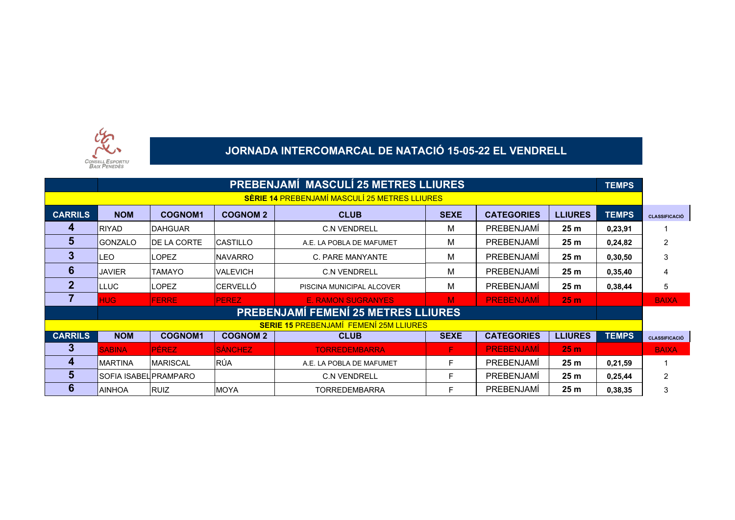

# **JORNADA INTERCOMARCAL DE NATACIÓ 15-05-22 EL VENDRELL**

|                | <b>PREBENJAMÍ MASCULÍ 25 METRES LLIURES</b><br><b>TEMPS</b> |                 |                 |                                                      |             |                   |                 |              |                      |  |
|----------------|-------------------------------------------------------------|-----------------|-----------------|------------------------------------------------------|-------------|-------------------|-----------------|--------------|----------------------|--|
|                |                                                             |                 |                 | <b>SÈRIE 14 PREBENJAMÍ MASCULÍ 25 METRES LLIURES</b> |             |                   |                 |              |                      |  |
| <b>CARRILS</b> | <b>NOM</b>                                                  | <b>COGNOM1</b>  | <b>COGNOM 2</b> | <b>CLUB</b>                                          | <b>SEXE</b> | <b>CATEGORIES</b> | <b>LLIURES</b>  | <b>TEMPS</b> | <b>CLASSIFICACIÓ</b> |  |
| 4              | <b>IRIYAD</b>                                               | <b>DAHGUAR</b>  |                 | <b>C.N VENDRELL</b>                                  | М           | PREBENJAMI        | 25 <sub>m</sub> | 0,23,91      |                      |  |
| 5              | <b>GONZALO</b>                                              | DE LA CORTE     | <b>CASTILLO</b> | A.E. LA POBLA DE MAFUMET                             | М           | <b>PREBENJAMÍ</b> | 25 <sub>m</sub> | 0,24,82      | $\overline{2}$       |  |
| 3              | LEO                                                         | <b>LOPEZ</b>    | <b>NAVARRO</b>  | C. PARE MANYANTE                                     | M           | PREBENJAMI        | 25 <sub>m</sub> | 0,30,50      | 3                    |  |
| 6              | <b>JAVIER</b>                                               | <b>TAMAYO</b>   | <b>VALEVICH</b> | <b>C.N VENDRELL</b>                                  | М           | <b>PREBENJAMI</b> | 25 <sub>m</sub> | 0,35,40      | 4                    |  |
| $\mathbf{2}$   | <b>LLUC</b>                                                 | <b>LOPEZ</b>    | <b>CERVELLÓ</b> | PISCINA MUNICIPAL ALCOVER                            | M           | PREBENJAMI        | 25 <sub>m</sub> | 0,38,44      | 5                    |  |
|                | <b>HUG</b>                                                  | <b>FERRE</b>    | <b>PEREZ</b>    | <b>E. RAMON SUGRANYES</b>                            | M           | <b>PREBENJAMI</b> | 25 <sub>m</sub> |              | <b>BAIXA</b>         |  |
|                |                                                             |                 |                 | <b>PREBENJAMÍ FEMENÍ 25 METRES LLIURES</b>           |             |                   |                 |              |                      |  |
|                |                                                             |                 |                 | <b>SERIE 15 PREBENJAMÍ FEMENÍ 25M LLIURES</b>        |             |                   |                 |              |                      |  |
| <b>CARRILS</b> | <b>NOM</b>                                                  | <b>COGNOM1</b>  | <b>COGNOM 2</b> | <b>CLUB</b>                                          | <b>SEXE</b> | <b>CATEGORIES</b> | <b>LLIURES</b>  | <b>TEMPS</b> | <b>CLASSIFICACIÓ</b> |  |
| 3              | <b>SABINA</b>                                               | <b>PÉREZ</b>    | <b>SÁNCHEZ</b>  | <b>TORREDEMBARRA</b>                                 | F           | <b>PREBENJAMI</b> | 25 <sub>m</sub> |              | <b>BAIXA</b>         |  |
| 4              | IMARTINA                                                    | <b>MARISCAL</b> | <b>RÚA</b>      | A.E. LA POBLA DE MAFUMET                             | F           | PREBENJAMI        | 25 <sub>m</sub> | 0,21,59      |                      |  |
| 5              | ISOFIA ISABELIPRAMPARO                                      |                 |                 | <b>C.N VENDRELL</b>                                  | F           | PREBENJAMI        | 25 <sub>m</sub> | 0,25,44      | $\overline{2}$       |  |
| 6              | IAINHOA                                                     | <b>RUIZ</b>     | <b>MOYA</b>     | <b>TORREDEMBARRA</b>                                 | F           | PREBENJAMI        | 25 <sub>m</sub> | 0,38,35      | 3                    |  |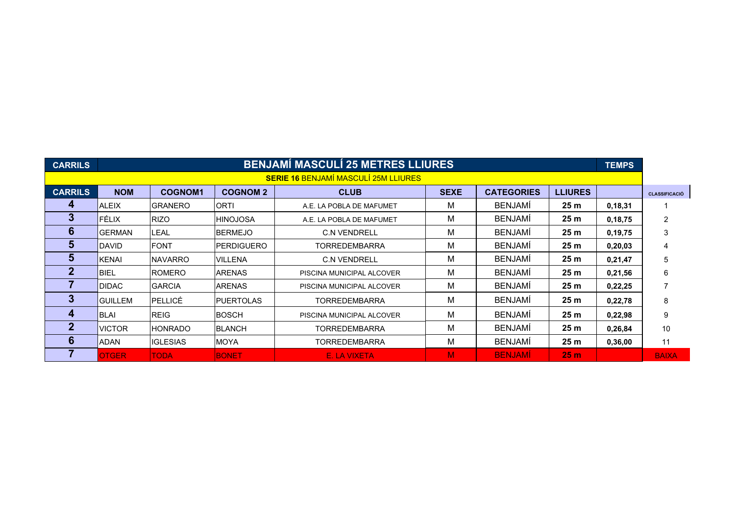| <b>CARRILS</b> |                | <b>BENJAMÍ MASCULÍ 25 METRES LLIURES</b> |                   |                                             |             |                   |                 |         |                      |
|----------------|----------------|------------------------------------------|-------------------|---------------------------------------------|-------------|-------------------|-----------------|---------|----------------------|
|                |                |                                          |                   | <b>SERIE 16 BENJAMÍ MASCULÍ 25M LLIURES</b> |             |                   |                 |         |                      |
| <b>CARRILS</b> | <b>NOM</b>     | <b>COGNOM1</b>                           | <b>COGNOM 2</b>   | <b>CLUB</b>                                 | <b>SEXE</b> | <b>CATEGORIES</b> | <b>LLIURES</b>  |         | <b>CLASSIFICACIÓ</b> |
| 4              | <b>ALEIX</b>   | <b>GRANERO</b>                           | IORTI             | A.E. LA POBLA DE MAFUMET                    | М           | <b>BENJAMI</b>    | 25 <sub>m</sub> | 0,18,31 |                      |
| J.             | <b>FÉLIX</b>   | <b>RIZO</b>                              | <b>HINOJOSA</b>   | A.E. LA POBLA DE MAFUMET                    | М           | <b>BENJAMI</b>    | 25 <sub>m</sub> | 0,18,75 | 2                    |
| 6              | IGERMAN        | <b>LEAL</b>                              | <b>BERMEJO</b>    | <b>C.N VENDRELL</b>                         | М           | <b>BENJAMI</b>    | 25 <sub>m</sub> | 0,19,75 | 3                    |
| 5.             | <b>IDAVID</b>  | <b>FONT</b>                              | <b>PERDIGUERO</b> | TORREDEMBARRA                               | М           | <b>BENJAMI</b>    | 25 <sub>m</sub> | 0,20,03 | 4                    |
| 5.             | IKENAI         | <b>NAVARRO</b>                           | <b>VILLENA</b>    | <b>C.N VENDRELL</b>                         | М           | <b>BENJAMI</b>    | 25 <sub>m</sub> | 0,21,47 | 5                    |
| 2              | <b>BIEL</b>    | <b>ROMERO</b>                            | <b>ARENAS</b>     | PISCINA MUNICIPAL ALCOVER                   | М           | <b>BENJAMI</b>    | 25 <sub>m</sub> | 0,21,56 | 6                    |
|                | <b>IDIDAC</b>  | <b>GARCIA</b>                            | <b>ARENAS</b>     | PISCINA MUNICIPAL ALCOVER                   | М           | <b>BENJAMI</b>    | 25 <sub>m</sub> | 0,22,25 |                      |
| 3              | <b>GUILLEM</b> | PELLICÉ                                  | <b>PUERTOLAS</b>  | <b>TORREDEMBARRA</b>                        | M           | <b>BENJAMI</b>    | 25 <sub>m</sub> | 0,22,78 | 8                    |
| 4              | <b>BLAI</b>    | <b>REIG</b>                              | <b>BOSCH</b>      | PISCINA MUNICIPAL ALCOVER                   | М           | <b>BENJAMI</b>    | 25 <sub>m</sub> | 0,22,98 | 9                    |
| 2              | <b>VICTOR</b>  | <b>HONRADO</b>                           | <b>BLANCH</b>     | TORREDEMBARRA                               | М           | <b>BENJAMI</b>    | 25 <sub>m</sub> | 0,26,84 | 10                   |
| 6              | ADAN           | <b>IGLESIAS</b>                          | MOYA              | TORREDEMBARRA                               | М           | <b>BENJAMI</b>    | 25 <sub>m</sub> | 0,36,00 | 11                   |
|                | <b>OTGER</b>   | <b>TODA</b>                              | <b>BONET</b>      | E. LA VIXETA                                | M.          | <b>BENJAMİ</b>    | 25 <sub>m</sub> |         | <b>BAIXA</b>         |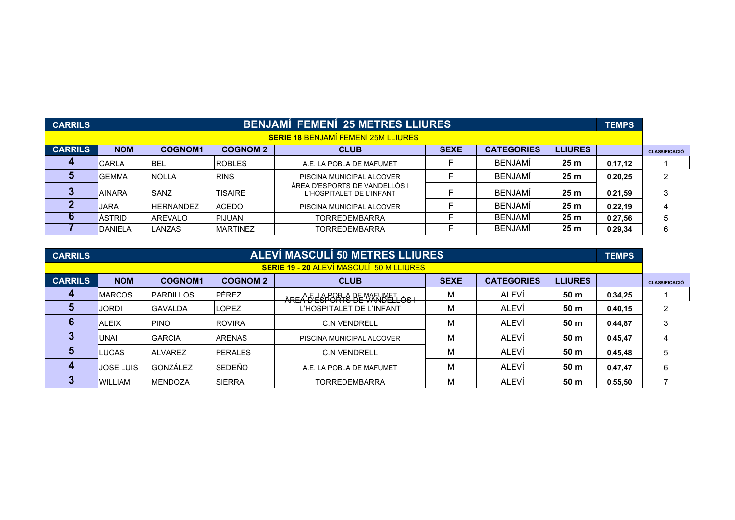| <b>CARRILS</b> |                |                  |                 | <b>BENJAMÍ FEMENÍ 25 METRES LLIURES</b>                   |             |                   |                 | <b>TEMPS</b> |                      |
|----------------|----------------|------------------|-----------------|-----------------------------------------------------------|-------------|-------------------|-----------------|--------------|----------------------|
|                |                |                  |                 | <b>SERIE 18 BENJAMÍ FEMENÍ 25M LLIURES</b>                |             |                   |                 |              |                      |
| <b>CARRILS</b> | <b>NOM</b>     | <b>COGNOM1</b>   | <b>COGNOM 2</b> | <b>CLUB</b>                                               | <b>SEXE</b> | <b>CATEGORIES</b> | <b>LLIURES</b>  |              | <b>CLASSIFICACIÓ</b> |
|                | <b>CARLA</b>   | BEL              | <b>ROBLES</b>   | A.E. LA POBLA DE MAFUMET                                  |             | <b>BENJAMÍ</b>    | 25 <sub>m</sub> | 0,17,12      |                      |
|                | lGEMMA         | <b>NOLLA</b>     | <b>RINS</b>     | PISCINA MUNICIPAL ALCOVER                                 |             | <b>BENJAMI</b>    | 25 <sub>m</sub> | 0,20,25      | 2                    |
|                | <b>IAINARA</b> | SANZ             | <b>TISAIRE</b>  | AREA D'ESPORTS DE VANDELLOS I<br>L'HOSPITALET DE L'INFANT |             | <b>BENJAMÍ</b>    | 25 <sub>m</sub> | 0,21,59      | 3                    |
|                | JARA           | <b>HFRNANDF7</b> | ACEDO           | PISCINA MUNICIPAL ALCOVER                                 |             | <b>BENJAMI</b>    | 25 m            | 0,22,19      | 4                    |
|                | ÀSTRID         | AREVALO          | <b>PIJUAN</b>   | <b>TORREDEMBARRA</b>                                      |             | <b>BENJAMI</b>    | 25 m            | 0,27,56      | 5                    |
|                | <b>DANIELA</b> | LANZAS           | <b>MARTINEZ</b> | <b>TORREDEMBARRA</b>                                      |             | <b>BENJAMI</b>    | 25 <sub>m</sub> | 0,29,34      | 6                    |

| <b>CARRILS</b> |                  | <b>ALEVÍ MASCULÍ 50 METRES LLIURES</b> |                 |                                                 |             |                   |                 |         |                      |  |  |
|----------------|------------------|----------------------------------------|-----------------|-------------------------------------------------|-------------|-------------------|-----------------|---------|----------------------|--|--|
|                |                  |                                        |                 | <b>SERIE 19 - 20 ALEVÍ MASCULÍ 50 M LLIURES</b> |             |                   |                 |         |                      |  |  |
| <b>CARRILS</b> | <b>NOM</b>       | <b>COGNOM1</b>                         | <b>COGNOM 2</b> | <b>CLUB</b>                                     | <b>SEXE</b> | <b>CATEGORIES</b> | <b>LLIURES</b>  |         | <b>CLASSIFICACIÓ</b> |  |  |
|                | <b>MARCOS</b>    | <b>PARDILLOS</b>                       | PÉREZ           | ARE A FESTORIA DE VARUMET OS L                  | М           | ALEVÍ             | 50 <sub>m</sub> | 0,34,25 |                      |  |  |
|                | <b>JORDI</b>     | lGAVALDA                               | <b>LOPEZ</b>    | L'HOSPITALET DE L'INFANT                        | М           | <b>ALEVÍ</b>      | 50 <sub>m</sub> | 0,40,15 | 2                    |  |  |
|                | <b>ALEIX</b>     | <b>PINO</b>                            | <b>ROVIRA</b>   | C.N.VENDRELL                                    | М           | <b>ALEVI</b>      | 50 m            | 0,44,87 | 3                    |  |  |
|                | UNAI             | <b>GARCIA</b>                          | <b>ARENAS</b>   | PISCINA MUNICIPAL ALCOVER                       | М           | ALEVI             | 50 m            | 0,45,47 | 4                    |  |  |
|                | <b>LUCAS</b>     | <b>ALVAREZ</b>                         | <b>PERALES</b>  | <b>C.N VENDRELL</b>                             | М           | ALEVÍ             | 50 <sub>m</sub> | 0,45,48 | 5                    |  |  |
|                | <b>JOSE LUIS</b> | <b>GONZÁLEZ</b>                        | SEDEÑO          | A.E. LA POBLA DE MAFUMET                        | М           | ALEVÍ             | 50 m            | 0,47,47 | 6                    |  |  |
|                | <b>IWILLIAM</b>  | <b>IMENDOZA</b>                        | <b>SIERRA</b>   | <b>TORREDEMBARRA</b>                            | м           | <b>ALEVI</b>      | 50 m            | 0,55,50 |                      |  |  |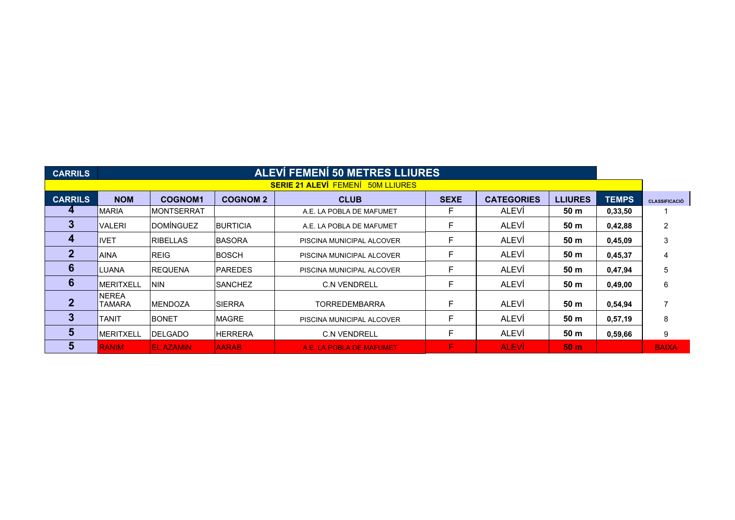| <b>CARRILS</b> |                               | <b>ALEVÍ FEMENÍ 50 METRES LLIURES</b> |                 |                                          |             |                   |                 |              |                      |
|----------------|-------------------------------|---------------------------------------|-----------------|------------------------------------------|-------------|-------------------|-----------------|--------------|----------------------|
|                |                               |                                       |                 | <b>SERIE 21 ALEVÍ FEMENÍ 50M LLIURES</b> |             |                   |                 |              |                      |
| <b>CARRILS</b> | <b>NOM</b>                    | <b>COGNOM1</b>                        | <b>COGNOM 2</b> | <b>CLUB</b>                              | <b>SEXE</b> | <b>CATEGORIES</b> | <b>LLIURES</b>  | <b>TEMPS</b> | <b>CLASSIFICACIÓ</b> |
| 4              | IMARIA                        | <b>MONTSERRAT</b>                     |                 | A.E. LA POBLA DE MAFUMET                 | F           | <b>ALEVI</b>      | 50 <sub>m</sub> | 0,33,50      |                      |
| 3              | <b>VALERI</b>                 | <b>DOMÍNGUEZ</b>                      | <b>BURTICIA</b> | A.E. LA POBLA DE MAFUMET                 | F           | <b>ALEVÍ</b>      | 50 m            | 0,42,88      | 2                    |
| 4              | <b>IVET</b>                   | <b>RIBELLAS</b>                       | <b>BASORA</b>   | PISCINA MUNICIPAL ALCOVER                | F           | ALEVÍ             | 50 m            | 0,45,09      | 3                    |
| $\mathbf{2}$   | <b>AINA</b>                   | <b>REIG</b>                           | <b>BOSCH</b>    | PISCINA MUNICIPAL ALCOVER                |             | <b>ALEVÍ</b>      | 50 m            | 0,45,37      | 4                    |
| 6              | LUANA                         | <b>REQUENA</b>                        | <b>PAREDES</b>  | PISCINA MUNICIPAL ALCOVER                | F           | <b>ALEVI</b>      | 50 m            | 0,47,94      | 5                    |
| 6              | <b>IMERITXELL</b>             | <b>NIN</b>                            | <b>SANCHEZ</b>  | <b>C.N VENDRELL</b>                      |             | <b>ALEVÍ</b>      | 50 m            | 0,49,00      | 6                    |
|                | <b>NEREA</b><br><b>TAMARA</b> | <b>MENDOZA</b>                        | <b>SIERRA</b>   | <b>TORREDEMBARRA</b>                     |             | ALEVÍ             | 50 m            | 0,54,94      |                      |
| 3              | TANIT                         | <b>BONET</b>                          | <b>MAGRE</b>    | PISCINA MUNICIPAL ALCOVER                | F           | <b>ALEVÍ</b>      | 50 m            | 0,57,19      | 8                    |
| 5              | IMERITXELL                    | <b>DELGADO</b>                        | <b>HERRERA</b>  | <b>C.N VENDRELL</b>                      | F           | <b>ALEVÍ</b>      | 50 m            | 0,59,66      | 9                    |
| 5              | <b>RANIM</b>                  | <b>EL AZAMIN</b>                      | <b>AARAB</b>    | A.E. LA POBLA DE MAFUMET                 | F           | <b>ALEVI</b>      | 50 <sub>m</sub> |              | <b>BAIXA</b>         |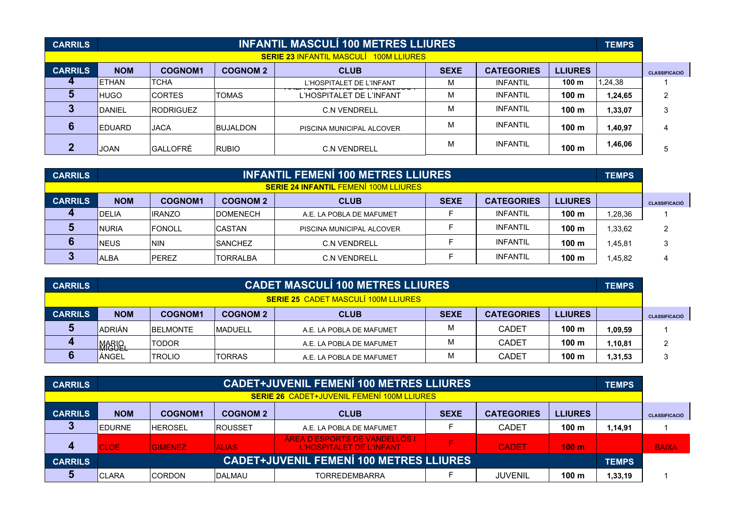| <b>CARRILS</b> |                |                  |                 | <b>INFANTIL MASCULÍ 100 METRES LLIURES</b>    |             |                   |                  | <b>TEMPS</b> |                      |
|----------------|----------------|------------------|-----------------|-----------------------------------------------|-------------|-------------------|------------------|--------------|----------------------|
|                |                |                  |                 | <b>SERIE 23 INFANTIL MASCULI 100M LLIURES</b> |             |                   |                  |              |                      |
| <b>CARRILS</b> | <b>NOM</b>     | <b>COGNOM1</b>   | <b>COGNOM 2</b> | <b>CLUB</b>                                   | <b>SEXE</b> | <b>CATEGORIES</b> | <b>LLIURES</b>   |              | <b>CLASSIFICACIÓ</b> |
|                | <b>IETHAN</b>  | <b>TCHA</b>      |                 | L'HOSPITALET DE L'INFANT                      | м           | <b>INFANTIL</b>   | 100 <sub>m</sub> | ,24,38       |                      |
|                | <b>HUGO</b>    | <b>CORTES</b>    | <b>TOMAS</b>    | L'HOSPITALET DE L'INFANT                      | м           | <b>INFANTIL</b>   | 100 <sub>m</sub> | 1,24,65      | ົ                    |
|                | <b>DANIEL</b>  | <b>RODRIGUEZ</b> |                 | <b>C.N VENDRELL</b>                           | м           | <b>INFANTIL</b>   | 100 <sub>m</sub> | 1,33,07      | 3                    |
|                | <b>IEDUARD</b> | <b>JACA</b>      | <b>BUJALDON</b> | PISCINA MUNICIPAL ALCOVER                     | м           | <b>INFANTIL</b>   | 100 <sub>m</sub> | 1,40,97      | 4                    |
|                | <b>JOAN</b>    | <b>GALLOFRÉ</b>  | <b>RUBIO</b>    | <b>C.N VENDRELL</b>                           | м           | <b>INFANTIL</b>   | 100 <sub>m</sub> | 1,46,06      |                      |

| <b>CARRILS</b>                               |              |                |                  | <b>INFANTIL FEMENI 100 METRES LLIURES</b> |             |                   |                  | <b>TEMPS</b> |                      |  |
|----------------------------------------------|--------------|----------------|------------------|-------------------------------------------|-------------|-------------------|------------------|--------------|----------------------|--|
| <b>SERIE 24 INFANTIL FEMENÍ 100M LLIURES</b> |              |                |                  |                                           |             |                   |                  |              |                      |  |
| <b>CARRILS</b>                               | <b>NOM</b>   | <b>COGNOM1</b> | <b>COGNOM 2</b>  | <b>CLUB</b>                               | <b>SEXE</b> | <b>CATEGORIES</b> | <b>LLIURES</b>   |              | <b>CLASSIFICACIÓ</b> |  |
|                                              | <b>DELIA</b> | <b>IRANZO</b>  | <b>IDOMENECH</b> | A.E. LA POBLA DE MAFUMET                  |             | <b>INFANTIL</b>   | 100 <sub>m</sub> | 1,28,36      |                      |  |
|                                              | <b>NURIA</b> | <b>FONOLL</b>  | <b>CASTAN</b>    | PISCINA MUNICIPAL ALCOVER                 |             | <b>INFANTIL</b>   | 100 <sub>m</sub> | 1,33,62      | ົ                    |  |
|                                              | <b>NEUS</b>  | <b>NIN</b>     | <b>SANCHEZ</b>   | <b>C.N VENDRELL</b>                       |             | <b>INFANTIL</b>   | 100 <sub>m</sub> | 1,45,81      | ◠                    |  |
|                                              | <b>ALBA</b>  | <b>PEREZ</b>   | <b>TORRALBA</b>  | <b>C.N VENDRELL</b>                       |             | <b>INFANTIL</b>   | 100 <sub>m</sub> | 1,45,82      |                      |  |

| <b>CARRILS</b>                             | <b>CADET MASCULÍ 100 METRES LLIURES</b> |                  |                 |                          |             | <b>TEMPS</b>      |                  |         |               |
|--------------------------------------------|-----------------------------------------|------------------|-----------------|--------------------------|-------------|-------------------|------------------|---------|---------------|
| <b>SERIE 25 CADET MASCULÍ 100M LLIURES</b> |                                         |                  |                 |                          |             |                   |                  |         |               |
| <b>CARRILS</b>                             | <b>NOM</b>                              | <b>COGNOM1</b>   | <b>COGNOM 2</b> | <b>CLUB</b>              | <b>SEXE</b> | <b>CATEGORIES</b> | <b>LLIURES</b>   |         | CLASSIFICACIÓ |
|                                            | IADRIÁN                                 | <b>IBELMONTE</b> | <b>IMADUELL</b> | A.E. LA POBLA DE MAFUMET | IVI         | <b>CADET</b>      | 100 <sub>m</sub> | 1,09,59 |               |
|                                            | <b>MARIQ</b>                            | <b>TODOR</b>     |                 | A.E. LA POBLA DE MAFUMET | ΙVΙ         | <b>CADET</b>      | 100 <sub>m</sub> | 1,10,81 |               |
|                                            | ÀNGEL                                   | <b>TROLIO</b>    | <b>TORRAS</b>   | A.E. LA POBLA DE MAFUMET | ΙVΙ         | <b>CADET</b>      | 100 m            | 1,31,53 | 3             |

| <b>CARRILS</b>                                    | <b>CADET+JUVENIL FEMENÍ 100 METRES LLIURES</b>                                                                       |                |              |                                                           |   | <b>TEMPS</b>   |                  |                      |              |
|---------------------------------------------------|----------------------------------------------------------------------------------------------------------------------|----------------|--------------|-----------------------------------------------------------|---|----------------|------------------|----------------------|--------------|
| <b>SERIE 26 CADET+JUVENIL FEMENÍ 100M LLIURES</b> |                                                                                                                      |                |              |                                                           |   |                |                  |                      |              |
| <b>CARRILS</b>                                    | <b>NOM</b><br><b>SEXE</b><br><b>CATEGORIES</b><br><b>LLIURES</b><br><b>COGNOM 2</b><br><b>CLUB</b><br><b>COGNOM1</b> |                |              |                                                           |   |                |                  | <b>CLASSIFICACIÓ</b> |              |
|                                                   | <b>IEDURNE</b>                                                                                                       | <b>HEROSEL</b> | IROUSSET     | A.E. LA POBLA DE MAFUMET                                  |   | <b>CADET</b>   | 100 m            | 1,14,91              |              |
|                                                   | <b>CLOE</b>                                                                                                          | <b>GIMENEZ</b> | <b>ALIAS</b> | ÀREA D'ESPORTS DE VANDELLÓS I<br>L'HOSPITALET DE L'INFANT | Е | <b>CADET</b>   | 100 <sub>m</sub> |                      | <b>BAIXA</b> |
| <b>CARRILS</b>                                    | <b>CADET+JUVENIL FEMENÍ 100 METRES LLIURES</b><br><b>TEMPS</b>                                                       |                |              |                                                           |   |                |                  |                      |              |
|                                                   | LARA<br>ICI                                                                                                          | <b>CORDON</b>  | DALMAU       | <b>TORREDEMBARRA</b>                                      |   | <b>JUVENIL</b> | 100 m            | 1,33,19              |              |